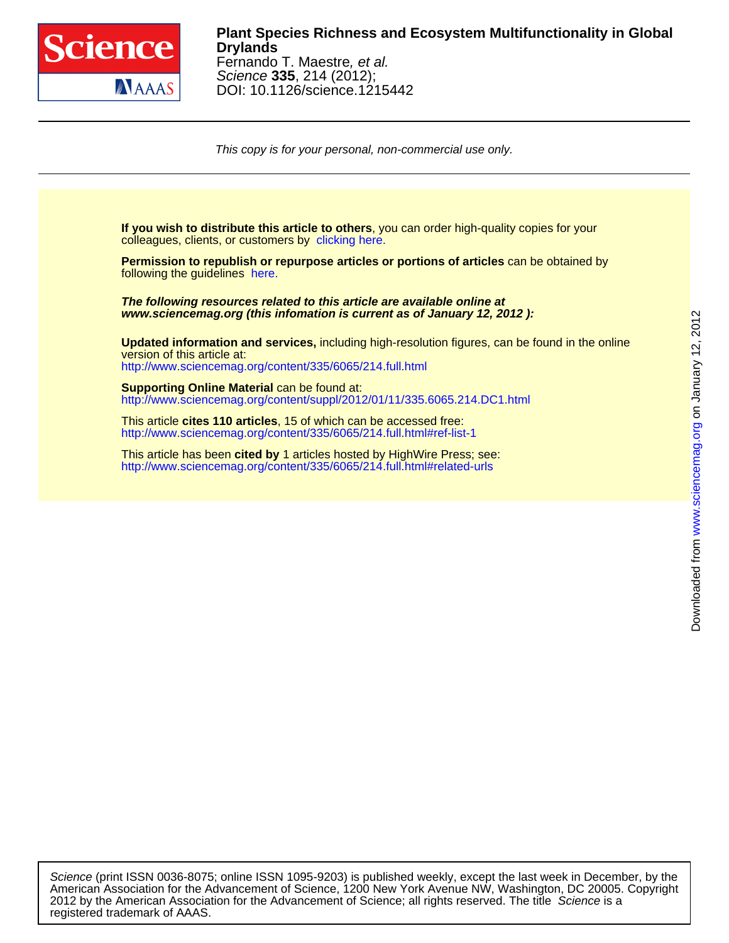

### Science **335**, 214 (2012); Fernando T. Maestre, et al. **Drylands Plant Species Richness and Ecosystem Multifunctionality in Global**

DOI: 10.1126/science.1215442

This copy is for your personal, non-commercial use only.

colleagues, clients, or customers by [clicking here.](http://www.sciencemag.org/about/permissions.dtl) **If you wish to distribute this article to others**, you can order high-quality copies for your

following the guidelines [here.](http://www.sciencemag.org/about/permissions.dtl) **Permission to republish or repurpose articles or portions of articles** can be obtained by

**www.sciencemag.org (this infomation is current as of January 12, 2012 ): The following resources related to this article are available online at**

<http://www.sciencemag.org/content/335/6065/214.full.html> version of this article at: **Updated information and services,** including high-resolution figures, can be found in the online

http://www.sciencemag.org/content/suppl/2012/01/11/335.6065.214.DC1.html **Supporting Online Material** can be found at:

<http://www.sciencemag.org/content/335/6065/214.full.html#ref-list-1> This article **cites 110 articles**, 15 of which can be accessed free:

<http://www.sciencemag.org/content/335/6065/214.full.html#related-urls> This article has been **cited by** 1 articles hosted by HighWire Press; see:

registered trademark of AAAS. 2012 by the American Association for the Advancement of Science; all rights reserved. The title Science is a American Association for the Advancement of Science, 1200 New York Avenue NW, Washington, DC 20005. Copyright Science (print ISSN 0036-8075; online ISSN 1095-9203) is published weekly, except the last week in December, by the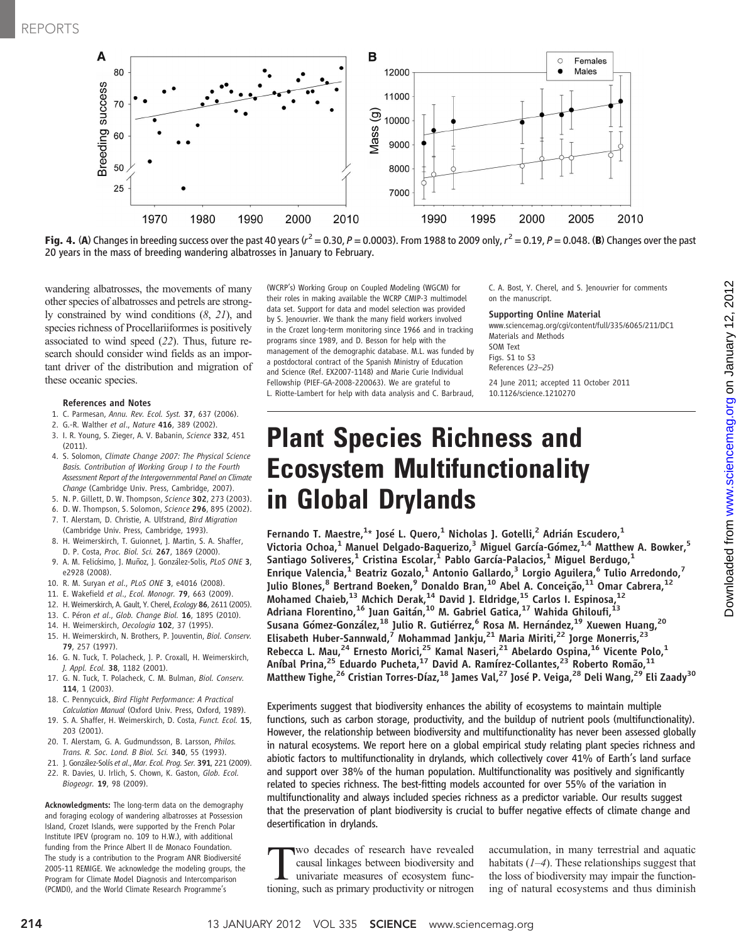

**Fig. 4. (A**) Changes in breeding success over the past 40 years ( $r^2 = 0.30$ ,  $P = 0.0003$ ). From 1988 to 2009 only,  $r^2 = 0.19$ ,  $P = 0.048$ . (B) Changes over the past<br>20 years in the mass of breeding wandering albatrosse 20 years in the mass of breeding wandering albatrosses in January to February.

wandering albatrosses, the movements of many other species of albatrosses and petrels are strongly constrained by wind conditions (8, 21), and species richness of Procellariiformes is positively associated to wind speed (22). Thus, future research should consider wind fields as an important driver of the distribution and migration of these oceanic species.

#### References and Notes

- 1. C. Parmesan, Annu. Rev. Ecol. Syst. 37, 637 (2006).
- 2. G.-R. Walther et al., Nature 416, 389 (2002).
- 3. I. R. Young, S. Zieger, A. V. Babanin, Science 332, 451 (2011).
- 4. S. Solomon, Climate Change 2007: The Physical Science Basis. Contribution of Working Group I to the Fourth Assessment Report of the Intergovernmental Panel on Climate Change (Cambridge Univ. Press, Cambridge, 2007).
- 5. N. P. Gillett, D. W. Thompson, Science 302, 273 (2003).
- 6. D. W. Thompson, S. Solomon, Science 296, 895 (2002). 7. T. Alerstam, D. Christie, A. Ulfstrand, Bird Migration
- (Cambridge Univ. Press, Cambridge, 1993). 8. H. Weimerskirch, T. Guionnet, J. Martin, S. A. Shaffer,
- D. P. Costa, Proc. Biol. Sci. 267, 1869 (2000).
- 9. A. M. Felicísimo, J. Muñoz, J. González-Solis, PLoS ONE 3, e2928 (2008).
- 10. R. M. Suryan et al., PLoS ONE 3, e4016 (2008).
- 11. E. Wakefield et al., Ecol. Monogr. 79, 663 (2009).
- 12. H. Weimerskirch, A. Gault, Y. Cherel, Ecology 86, 2611 (2005).
- 13. C. Péron et al., Glob. Change Biol. 16, 1895 (2010).
- 14. H. Weimerskirch, Oecologia 102, 37 (1995).
- 15. H. Weimerskirch, N. Brothers, P. Jouventin, Biol. Conserv. 79, 257 (1997).
- 16. G. N. Tuck, T. Polacheck, J. P. Croxall, H. Weimerskirch, J. Appl. Ecol. 38, 1182 (2001).
- 17. G. N. Tuck, T. Polacheck, C. M. Bulman, Biol. Conserv. 114, 1 (2003).
- 18. C. Pennycuick, Bird Flight Performance: A Practical Calculation Manual (Oxford Univ. Press, Oxford, 1989).
- 19. S. A. Shaffer, H. Weimerskirch, D. Costa, Funct. Ecol. 15, 203 (2001).
- 20. T. Alerstam, G. A. Gudmundsson, B. Larsson, Philos. Trans. R. Soc. Lond. B Biol. Sci. 340, 55 (1993).
- 21. J. González-Solís et al., Mar. Ecol. Prog. Ser. 391, 221 (2009). 22. R. Davies, U. Irlich, S. Chown, K. Gaston, Glob. Ecol.
- Biogeogr. 19, 98 (2009).

Acknowledgments: The long-term data on the demography and foraging ecology of wandering albatrosses at Possession Island, Crozet Islands, were supported by the French Polar Institute IPEV (program no. 109 to H.W.), with additional funding from the Prince Albert II de Monaco Foundation. The study is a contribution to the Program ANR Biodiversité 2005-11 REMIGE. We acknowledge the modeling groups, the Program for Climate Model Diagnosis and Intercomparison (PCMDI), and the World Climate Research Programme's

(WCRP's) Working Group on Coupled Modeling (WGCM) for their roles in making available the WCRP CMIP-3 multimodel data set. Support for data and model selection was provided by S. Jenouvrier. We thank the many field workers involved in the Crozet long-term monitoring since 1966 and in tracking programs since 1989, and D. Besson for help with the management of the demographic database. M.L. was funded by a postdoctoral contract of the Spanish Ministry of Education and Science (Ref. EX2007-1148) and Marie Curie Individual Fellowship (PIEF-GA-2008-220063). We are grateful to L. Riotte-Lambert for help with data analysis and C. Barbraud, C. A. Bost, Y. Cherel, and S. Jenouvrier for comments on the manuscript.

### Supporting Online Material

www.sciencemag.org/cgi/content/full/335/6065/211/DC1 Materials and Methods SOM Text Figs. S1 to S3 References (23–25) 24 June 2011; accepted 11 October 2011

10.1126/science.1210270

## Plant Species Richness and Ecosystem Multifunctionality in Global Drylands

Fernando T. Maestre, $^{1*}$  José L. Quero, $^{1}$  Nicholas J. Gotelli, $^{2}$  Adrián Escudero, $^{1}$ Victoria Ochoa,<sup>1</sup> Manuel Delgado-Baquerizo,<sup>3</sup> Miguel García-Gómez,<sup>1,4</sup> Matthew A. Bowker,<sup>5</sup> Santiago Soliveres, $^1$  Cristina Escolar, $^1$  Pablo García-Palacios, $^1$  Miguel Berdugo, $^1$ Enrique Valencia,<sup>1</sup> Beatriz Gozalo,<sup>1</sup> Antonio Gallardo,<sup>3</sup> Lorgio Aguilera,<sup>6</sup> Tulio Arredondo,<sup>7</sup> Julio Blones, $^8$  Bertrand Boeken, $^9$  Donaldo Bran, $^{10}$  Abel A. Conceição, $^{11}$  Omar Cabrera, $^{12}$ Mohamed Chaieb,  $^{13}$  Mchich Derak,  $^{14}$  David J. Eldridge,  $^{15}$  Carlos I. Espinosa,  $^{12}$ Adriana Florentino,<sup>16</sup> Juan Gaitán,<sup>10</sup> M. Gabriel Gatica,<sup>17</sup> Wahida Ghiloufi,<sup>13</sup> Susana Gómez-González, <sup>18</sup> Julio R. Gutiérrez, <sup>6</sup> Rosa M. Hernández, <sup>19</sup> Xuewen Huang, <sup>20</sup> Elisabeth Huber-Sannwald,<sup>7</sup> Mohammad Jankju,<sup>21</sup> Maria Miriti,<sup>22</sup> Jorge Monerris,<sup>23</sup> Rebecca L. Mau,<sup>24</sup> Ernesto Morici,<sup>25</sup> Kamal Naseri,<sup>21</sup> Abelardo Ospina,<sup>16</sup> Vicente Polo,<sup>1</sup> Aníbal Prina,<sup>25</sup> Eduardo Pucheta,<sup>17</sup> David A. Ramírez-Collantes,<sup>23</sup> Roberto Romão,<sup>11</sup> Matthew Tighe,<sup>26</sup> Cristian Torres-Díaz,<sup>18</sup> James Val,<sup>27</sup> José P. Veiga,<sup>28</sup> Deli Wang,<sup>29</sup> Eli Zaady<sup>30</sup>

Experiments suggest that biodiversity enhances the ability of ecosystems to maintain multiple functions, such as carbon storage, productivity, and the buildup of nutrient pools (multifunctionality). However, the relationship between biodiversity and multifunctionality has never been assessed globally in natural ecosystems. We report here on a global empirical study relating plant species richness and abiotic factors to multifunctionality in drylands, which collectively cover 41% of Earth's land surface and support over 38% of the human population. Multifunctionality was positively and significantly related to species richness. The best-fitting models accounted for over 55% of the variation in multifunctionality and always included species richness as a predictor variable. Our results suggest that the preservation of plant biodiversity is crucial to buffer negative effects of climate change and desertification in drylands.

Two decades of research have revealed<br>causal linkages between biodiversity and<br>univariate measures of ecosystem func-<br>tioning such as primary productivity or nitrogen causal linkages between biodiversity and univariate measures of ecosystem functioning, such as primary productivity or nitrogen accumulation, in many terrestrial and aquatic habitats  $(1-4)$ . These relationships suggest that the loss of biodiversity may impair the functioning of natural ecosystems and thus diminish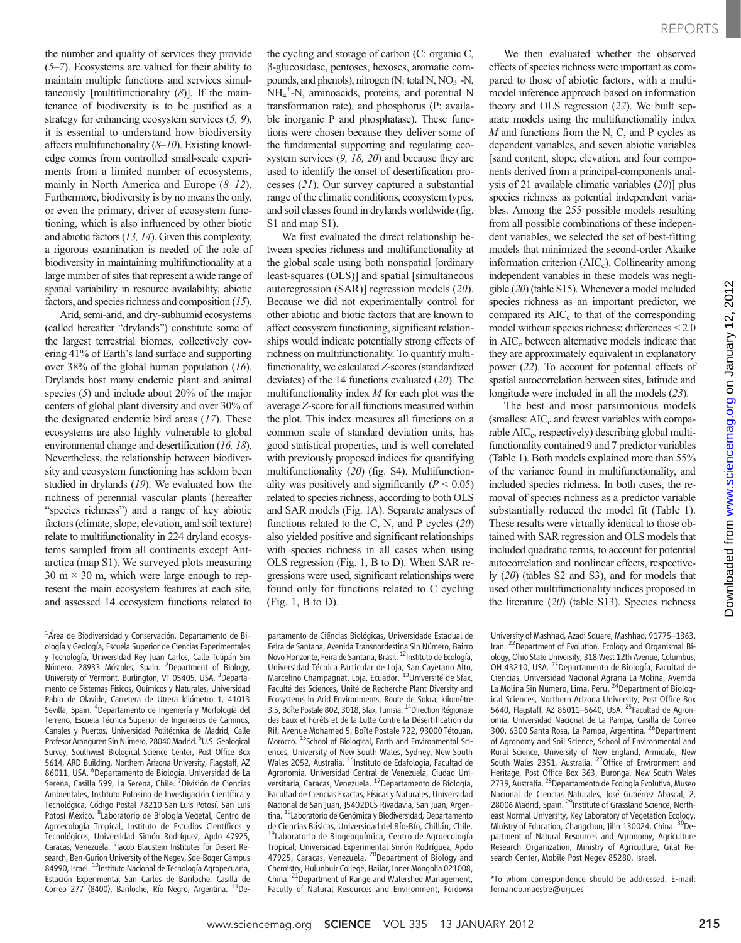REPORTS

the number and quality of services they provide  $(5–7)$ . Ecosystems are valued for their ability to maintain multiple functions and services simultaneously [multifunctionality  $(8)$ ]. If the maintenance of biodiversity is to be justified as a strategy for enhancing ecosystem services (5, 9), it is essential to understand how biodiversity affects multifunctionality  $(8-10)$ . Existing knowledge comes from controlled small-scale experiments from a limited number of ecosystems, mainly in North America and Europe  $(8-12)$ . Furthermore, biodiversity is by no means the only, or even the primary, driver of ecosystem functioning, which is also influenced by other biotic and abiotic factors (13, 14). Given this complexity, a rigorous examination is needed of the role of biodiversity in maintaining multifunctionality at a large number of sites that represent a wide range of spatial variability in resource availability, abiotic factors, and species richness and composition (15).

Arid, semi-arid, and dry-subhumid ecosystems (called hereafter "drylands") constitute some of the largest terrestrial biomes, collectively covering 41% of Earth's land surface and supporting over 38% of the global human population  $(16)$ . Drylands host many endemic plant and animal species (5) and include about 20% of the major centers of global plant diversity and over 30% of the designated endemic bird areas (17). These ecosystems are also highly vulnerable to global environmental change and desertification (16, 18). Nevertheless, the relationship between biodiversity and ecosystem functioning has seldom been studied in drylands (19). We evaluated how the richness of perennial vascular plants (hereafter "species richness") and a range of key abiotic factors (climate, slope, elevation, and soil texture) relate to multifunctionality in 224 dryland ecosystems sampled from all continents except Antarctica (map S1). We surveyed plots measuring  $30 \text{ m} \times 30 \text{ m}$ , which were large enough to represent the main ecosystem features at each site, and assessed 14 ecosystem functions related to

the cycling and storage of carbon (C: organic C, b-glucosidase, pentoses, hexoses, aromatic compounds, and phenols), nitrogen (N: total N,  $NO<sub>3</sub><sup>-</sup>N$ , NH4 + -N, aminoacids, proteins, and potential N transformation rate), and phosphorus (P: available inorganic P and phosphatase). These functions were chosen because they deliver some of the fundamental supporting and regulating ecosystem services  $(9, 18, 20)$  and because they are used to identify the onset of desertification processes (21). Our survey captured a substantial range of the climatic conditions, ecosystem types, and soil classes found in drylands worldwide (fig. S1 and map S1).

We first evaluated the direct relationship between species richness and multifunctionality at the global scale using both nonspatial [ordinary least-squares (OLS)] and spatial [simultaneous autoregression (SAR)] regression models (20). Because we did not experimentally control for other abiotic and biotic factors that are known to affect ecosystem functioning, significant relationships would indicate potentially strong effects of richness on multifunctionality. To quantify multifunctionality, we calculated Z-scores (standardized deviates) of the 14 functions evaluated  $(20)$ . The multifunctionality index  $M$  for each plot was the average Z-score for all functions measured within the plot. This index measures all functions on a common scale of standard deviation units, has good statistical properties, and is well correlated with previously proposed indices for quantifying multifunctionality (20) (fig. S4). Multifunctionality was positively and significantly  $(P < 0.05)$ related to species richness, according to both OLS and SAR models (Fig. 1A). Separate analyses of functions related to the C, N, and P cycles  $(20)$ also yielded positive and significant relationships with species richness in all cases when using OLS regression (Fig. 1, B to D). When SAR regressions were used, significant relationships were found only for functions related to C cycling (Fig. 1, B to D).

We then evaluated whether the observed effects of species richness were important as compared to those of abiotic factors, with a multimodel inference approach based on information theory and OLS regression (22). We built separate models using the multifunctionality index  $M$  and functions from the N, C, and P cycles as dependent variables, and seven abiotic variables [sand content, slope, elevation, and four components derived from a principal-components analysis of 21 available climatic variables (20)] plus species richness as potential independent variables. Among the 255 possible models resulting from all possible combinations of these independent variables, we selected the set of best-fitting models that minimized the second-order Akaike information criterion  $(AIC<sub>c</sub>)$ . Collinearity among independent variables in these models was negligible (20) (table S15). Whenever a model included species richness as an important predictor, we compared its  $AIC_c$  to that of the corresponding model without species richness; differences < 2.0 in AIC<sub>c</sub> between alternative models indicate that they are approximately equivalent in explanatory power (22). To account for potential effects of spatial autocorrelation between sites, latitude and longitude were included in all the models (23).

The best and most parsimonious models (smallest  $AIC_c$  and fewest variables with comparable AIC<sub>c</sub>, respectively) describing global multifunctionality contained 9 and 7 predictor variables (Table 1). Both models explained more than 55% of the variance found in multifunctionality, and included species richness. In both cases, the removal of species richness as a predictor variable substantially reduced the model fit (Table 1). These results were virtually identical to those obtained with SAR regression and OLS models that included quadratic terms, to account for potential autocorrelation and nonlinear effects, respectively (20) (tables S2 and S3), and for models that used other multifunctionality indices proposed in the literature  $(20)$  (table S13). Species richness

<sup>1</sup>Área de Biodiversidad y Conservación, Departamento de Biología y Geología, Escuela Superior de Ciencias Experimentales y Tecnología, Universidad Rey Juan Carlos, Calle Tulipán Sin Número, 28933 Móstoles, Spain. <sup>2</sup>Department of Biology, University of Vermont, Burlington, VT 05405, USA. <sup>3</sup>Departamento de Sistemas Físicos, Químicos y Naturales, Universidad Pablo de Olavide, Carretera de Utrera kilómetro 1, 41013 Sevilla, Spain. <sup>4</sup>Departamento de Ingeniería y Morfología del Terreno, Escuela Técnica Superior de Ingenieros de Caminos, Canales y Puertos, Universidad Politécnica de Madrid, Calle Profesor Áranguren Sin Número, 28040 Madrid. <sup>5</sup>U.S. Geological Survey, Southwest Biological Science Center, Post Office Box 5614, ARD Building, Northern Arizona University, Flagstaff, AZ 86011, USA. <sup>6</sup>Departamento de Biología, Universidad de La Serena, Casilla 599, La Serena, Chile. <sup>7</sup>División de Ciencias Ambientales, Instituto Potosino de Investigación Científica y Tecnológica, Código Postal 78210 San Luis Potosí, San Luis Potosí Mexico. <sup>8</sup> Laboratorio de Biología Vegetal, Centro de Agroecología Tropical, Instituto de Estudios Científicos y Tecnológicos, Universidad Simón Rodríguez, Apdo 47925, Caracas, Venezuela. <sup>9</sup>Jacob Blaustein Institutes for Desert Research, Ben-Gurion University of the Negev, Sde-Boqer Campus 84990, Israel. <sup>10</sup>Instituto Nacional de Tecnología Agropecuaria, Estación Experimental San Carlos de Bariloche, Casilla de Correo 277 (8400), Bariloche, Río Negro, Argentina. <sup>11</sup>De-

partamento de Ciências Biológicas, Universidade Estadual de Feira de Santana, Avenida Transnordestina Sin Número, Bairro Novo Horizonte, Feira de Santana, Brasil. <sup>12</sup>Instituto de Ecología, Universidad Técnica Particular de Loja, San Cayetano Alto,<br>Marcelino Champagnat, Loja, Ecuador. <sup>13</sup>Université de Sfax, Faculté des Sciences, Unité de Recherche Plant Diversity and Ecosystems in Arid Environments, Route de Sokra, kilomètre 3.5, Boîte Postale 802, 3018, Sfax, Tunisia. 14Direction Régionale des Eaux et Forêts et de la Lutte Contre la Désertification du Rif, Avenue Mohamed 5, Boîte Postale 722, 93000 Tétouan, Morocco. <sup>15</sup>School of Biological, Earth and Environmental Sciences, University of New South Wales, Sydney, New South Wales 2052, Australia. <sup>16</sup>Instituto de Edafología, Facultad de Agronomía, Universidad Central de Venezuela, Ciudad Universitaria, Caracas, Venezuela. 17Departamento de Biología, Facultad de Ciencias Exactas, Físicas y Naturales, Universidad Nacional de San Juan, J5402DCS Rivadavia, San Juan, Argentina. 18Laboratorio de Genómica y Biodiversidad, Departamento de Ciencias Básicas, Universidad del Bío-Bío, Chillán, Chile. 19Laboratorio de Biogeoquímica, Centro de Agroecología Tropical, Universidad Experimental Simón Rodríguez, Apdo 47925, Caracas, Venezuela. <sup>20</sup>Department of Biology and Chemistry, Hulunbuir College, Hailar, Inner Mongolia 021008, China. <sup>21</sup>Department of Range and Watershed Management, Faculty of Natural Resources and Environment, Ferdowsi

University of Mashhad, Azadi Square, Mashhad, 91775–1363, Iran. 22Department of Evolution, Ecology and Organismal Biology, Ohio State University, 318 West 12th Avenue, Columbus, OH 43210, USA. 23Departamento de Biología, Facultad de Ciencias, Universidad Nacional Agraria La Molina, Avenida La Molina Sin Número, Lima, Peru. <sup>24</sup> Department of Biological Sciences, Northern Arizona University, Post Office Box<br>5640, Flagstaff, AZ 86011–5640, USA. <sup>25</sup>Facultad de Agronomía, Universidad Nacional de La Pampa, Casilla de Correo 300, 6300 Santa Rosa, La Pampa, Argentina. <sup>26</sup>Department of Agronomy and Soil Science, School of Environmental and Rural Science, University of New England, Armidale, New South Wales 2351, Australia. 27Office of Environment and Heritage, Post Office Box 363, Buronga, New South Wales 2739, Australia. <sup>28</sup>Departamento de Ecología Evolutiva, Museo Nacional de Ciencias Naturales, José Gutiérrez Abascal, 2,<br>28006 Madrid, Spain. <sup>29</sup>Institute of Grassland Science, Northeast Normal University, Key Laboratory of Vegetation Ecology, Ministry of Education, Changchun, Jilin 130024, China. <sup>30</sup>Department of Natural Resources and Agronomy, Agriculture Research Organization, Ministry of Agriculture, Gilat Research Center, Mobile Post Negev 85280, Israel.

\*To whom correspondence should be addressed. E-mail: fernando.maestre@urjc.es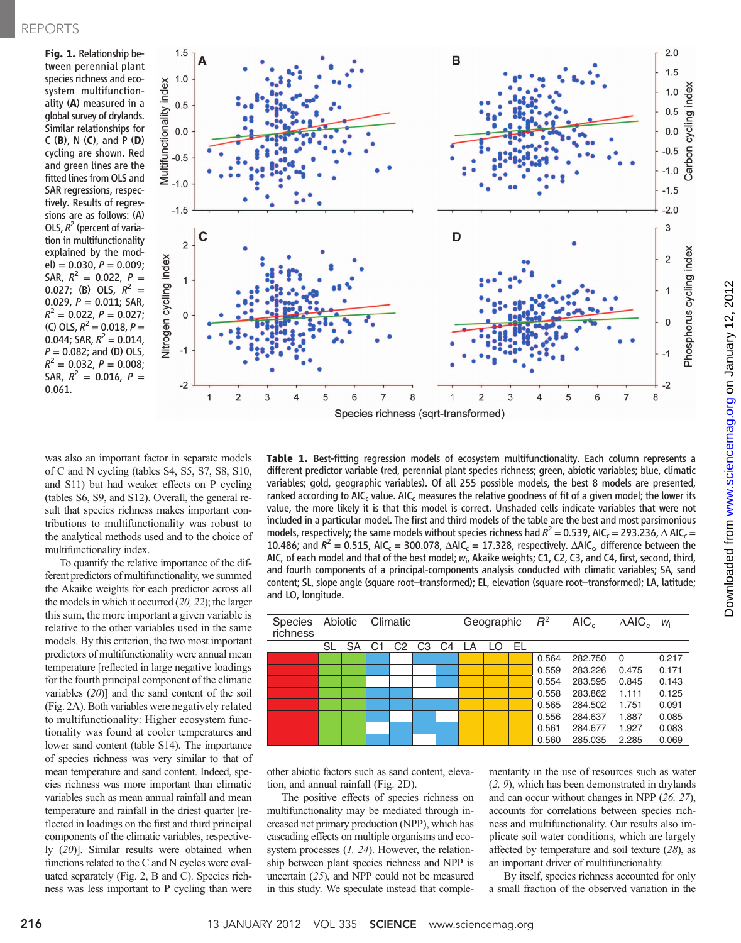Fig. 1. Relationship between perennial plant species richness and ecosystem multifunctionality (A) measured in a global survey of drylands. Similar relationships for C  $(B)$ , N  $(C)$ , and P  $(D)$ cycling are shown. Red and green lines are the fitted lines from OLS and SAR regressions, respectively. Results of regressions are as follows: (A) OLS,  $R^2$  (percent of variation in multifunctionality explained by the mod $el$ ) = 0.030,  $P = 0.009$ ; SAR,  $R^2 = 0.022$ ,  $P =$ 0.027; (B) OLS,  $R^2 =$ 0.029,  $P = 0.011$ ; SAR,  $R^2 = 0.022$ ,  $P = 0.027$ ; (C) OLS,  $R^2 = 0.018$ ,  $P =$ 0.044; SAR,  $R^2 = 0.014$ ,  $P = 0.082$ ; and (D) OLS,  $R^2 = 0.032$ ,  $P = 0.008$ ; SAR,  $R^2 = 0.016$ ,  $P =$ 0.061.



was also an important factor in separate models of C and N cycling (tables S4, S5, S7, S8, S10, and S11) but had weaker effects on P cycling (tables S6, S9, and S12). Overall, the general result that species richness makes important contributions to multifunctionality was robust to the analytical methods used and to the choice of multifunctionality index.

To quantify the relative importance of the different predictors of multifunctionality, we summed the Akaike weights for each predictor across all the models in which it occurred (20, 22); the larger this sum, the more important a given variable is relative to the other variables used in the same models. By this criterion, the two most important predictors of multifunctionality were annual mean temperature [reflected in large negative loadings for the fourth principal component of the climatic variables (20)] and the sand content of the soil (Fig. 2A). Both variables were negatively related to multifunctionality: Higher ecosystem functionality was found at cooler temperatures and lower sand content (table S14). The importance of species richness was very similar to that of mean temperature and sand content. Indeed, species richness was more important than climatic variables such as mean annual rainfall and mean temperature and rainfall in the driest quarter [reflected in loadings on the first and third principal components of the climatic variables, respectively (20)]. Similar results were obtained when functions related to the C and N cycles were evaluated separately (Fig. 2, B and C). Species richness was less important to P cycling than were

Table 1. Best-fitting regression models of ecosystem multifunctionality. Each column represents a different predictor variable (red, perennial plant species richness; green, abiotic variables; blue, climatic variables; gold, geographic variables). Of all 255 possible models, the best 8 models are presented, ranked according to AIC<sub>c</sub> value. AIC<sub>c</sub> measures the relative goodness of fit of a given model; the lower its value, the more likely it is that this model is correct. Unshaded cells indicate variables that were not included in a particular model. The first and third models of the table are the best and most parsimonious models, respectively; the same models without species richness had  $R^2 = 0.539$ , AIC<sub>c</sub> = 293.236,  $\triangle$  AIC<sub>c</sub> = 10.486; and  $R^2 = 0.515$ , AIC<sub>c</sub> = 300.078,  $\triangle AIC_c = 17.328$ , respectively.  $\triangle AIC_c$ , difference between the AIC<sub>c</sub> of each model and that of the best model;  $w_i$ , Akaike weights; C1, C2, C3, and C4, first, second, third, and fourth components of a principal-components analysis conducted with climatic variables; SA, sand content; SL, slope angle (square root–transformed); EL, elevation (square root–transformed); LA, latitude; and LO, longitude.

| richness | Species Abiotic Climatic |       |  |                                                 |  |  | Geographic $R^2$ |     |    |       | AIC <sub>c</sub> | $\triangle$ AIC <sub>c</sub> $w_i$ |       |
|----------|--------------------------|-------|--|-------------------------------------------------|--|--|------------------|-----|----|-------|------------------|------------------------------------|-------|
|          | SL                       | SA C1 |  | C <sub>2</sub> C <sub>3</sub> C <sub>4</sub> LA |  |  |                  | LO. | EL |       |                  |                                    |       |
|          |                          |       |  |                                                 |  |  |                  |     |    | 0.564 | 282.750          | - 0                                | 0.217 |
|          |                          |       |  |                                                 |  |  |                  |     |    | 0.559 | 283.226          | 0.475                              | 0.171 |
|          |                          |       |  |                                                 |  |  |                  |     |    | 0.554 | 283.595          | 0.845                              | 0.143 |
|          |                          |       |  |                                                 |  |  |                  |     |    | 0.558 | 283.862          | 1.111                              | 0.125 |
|          |                          |       |  |                                                 |  |  |                  |     |    | 0.565 | 284.502          | 1.751                              | 0.091 |
|          |                          |       |  |                                                 |  |  |                  |     |    | 0.556 | 284.637          | 1.887                              | 0.085 |
|          |                          |       |  |                                                 |  |  |                  |     |    | 0.561 | 284.677          | 1.927                              | 0.083 |
|          |                          |       |  |                                                 |  |  |                  |     |    | 0.560 | 285.035          | 2.285                              | 0.069 |

other abiotic factors such as sand content, elevation, and annual rainfall (Fig. 2D).

The positive effects of species richness on multifunctionality may be mediated through increased net primary production (NPP), which has cascading effects on multiple organisms and ecosystem processes  $(1, 24)$ . However, the relationship between plant species richness and NPP is uncertain (25), and NPP could not be measured in this study. We speculate instead that complementarity in the use of resources such as water (2, 9), which has been demonstrated in drylands and can occur without changes in NPP (26, 27), accounts for correlations between species richness and multifunctionality. Our results also implicate soil water conditions, which are largely affected by temperature and soil texture (28), as an important driver of multifunctionality.

By itself, species richness accounted for only a small fraction of the observed variation in the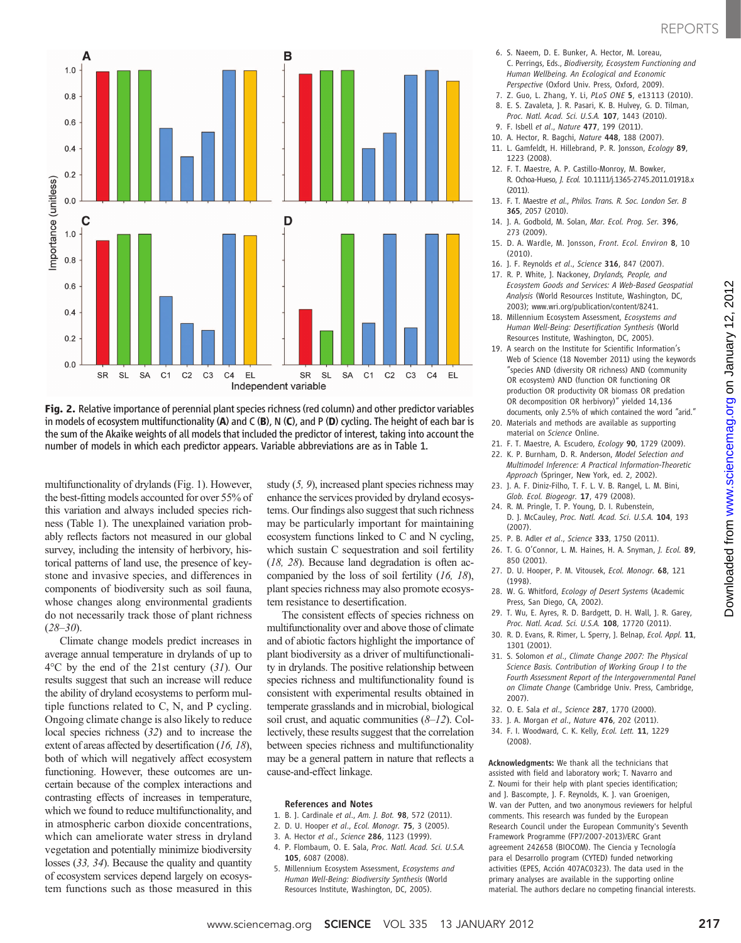



multifunctionality of drylands (Fig. 1). However, the best-fitting models accounted for over 55% of this variation and always included species richness (Table 1). The unexplained variation probably reflects factors not measured in our global survey, including the intensity of herbivory, historical patterns of land use, the presence of keystone and invasive species, and differences in components of biodiversity such as soil fauna, whose changes along environmental gradients do not necessarily track those of plant richness  $(28-30)$ .

Climate change models predict increases in average annual temperature in drylands of up to 4°C by the end of the 21st century (31). Our results suggest that such an increase will reduce the ability of dryland ecosystems to perform multiple functions related to C, N, and P cycling. Ongoing climate change is also likely to reduce local species richness (32) and to increase the extent of areas affected by desertification (16, 18), both of which will negatively affect ecosystem functioning. However, these outcomes are uncertain because of the complex interactions and contrasting effects of increases in temperature, which we found to reduce multifunctionality, and in atmospheric carbon dioxide concentrations, which can ameliorate water stress in dryland vegetation and potentially minimize biodiversity losses (33, 34). Because the quality and quantity of ecosystem services depend largely on ecosystem functions such as those measured in this

study (5, 9), increased plant species richness may enhance the services provided by dryland ecosystems. Our findings also suggest that such richness may be particularly important for maintaining ecosystem functions linked to C and N cycling, which sustain C sequestration and soil fertility (18, 28). Because land degradation is often accompanied by the loss of soil fertility (16, 18), plant species richness may also promote ecosystem resistance to desertification.

The consistent effects of species richness on multifunctionality over and above those of climate and of abiotic factors highlight the importance of plant biodiversity as a driver of multifunctionality in drylands. The positive relationship between species richness and multifunctionality found is consistent with experimental results obtained in temperate grasslands and in microbial, biological soil crust, and aquatic communities  $(8-12)$ . Collectively, these results suggest that the correlation between species richness and multifunctionality may be a general pattern in nature that reflects a cause-and-effect linkage.

### References and Notes

- 1. B. J. Cardinale et al., Am. J. Bot. 98, 572 (2011).
- 2. D. U. Hooper et al., Ecol. Monogr. 75, 3 (2005).
- 3. A. Hector et al., Science 286, 1123 (1999).
- 4. P. Flombaum, O. E. Sala, Proc. Natl. Acad. Sci. U.S.A. 105, 6087 (2008).
- 5. Millennium Ecosystem Assessment, Ecosystems and Human Well-Being: Biodiversity Synthesis (World Resources Institute, Washington, DC, 2005).
- 6. S. Naeem, D. E. Bunker, A. Hector, M. Loreau, C. Perrings, Eds., Biodiversity, Ecosystem Functioning and Human Wellbeing. An Ecological and Economic Perspective (Oxford Univ. Press, Oxford, 2009).
- 7. Z. Guo, L. Zhang, Y. Li, PLoS ONE 5, e13113 (2010).
- 8. E. S. Zavaleta, J. R. Pasari, K. B. Hulvey, G. D. Tilman,
- Proc. Natl. Acad. Sci. U.S.A. 107, 1443 (2010). 9. F. Isbell et al., Nature 477, 199 (2011).
- 
- 10. A. Hector, R. Bagchi, Nature 448, 188 (2007).
- 11. L. Gamfeldt, H. Hillebrand, P. R. Jonsson, Ecology 89, 1223 (2008).
- 12. F. T. Maestre, A. P. Castillo-Monroy, M. Bowker, R. Ochoa-Hueso, J. Ecol. 10.1111/j.1365-2745.2011.01918.x (2011).
- 13. F. T. Maestre et al., Philos. Trans. R. Soc. London Ser. B 365, 2057 (2010).
- 14. J. A. Godbold, M. Solan, Mar. Ecol. Prog. Ser. 396, 273 (2009).
- 15. D. A. Wardle, M. Jonsson, Front. Ecol. Environ 8, 10 (2010).
- 16. J. F. Reynolds et al., Science 316, 847 (2007).
- 17. R. P. White, J. Nackoney, Drylands, People, and Ecosystem Goods and Services: A Web-Based Geospatial Analysis (World Resources Institute, Washington, DC, 2003); www.wri.org/publication/content/8241.
- 18. Millennium Ecosystem Assessment, Ecosystems and Human Well-Being: Desertification Synthesis (World Resources Institute, Washington, DC, 2005).
- 19. A search on the Institute for Scientific Information's Web of Science (18 November 2011) using the keywords "species AND (diversity OR richness) AND (community OR ecosystem) AND (function OR functioning OR production OR productivity OR biomass OR predation OR decomposition OR herbivory)" yielded 14,136 documents, only 2.5% of which contained the word "arid."
- 20. Materials and methods are available as supporting material on Science Online.
- 21. F. T. Maestre, A. Escudero, Ecology 90, 1729 (2009).
- 22. K. P. Burnham, D. R. Anderson, Model Selection and Multimodel Inference: A Practical Information-Theoretic Approach (Springer, New York, ed. 2, 2002).
- 23. J. A. F. Diniz-Filho, T. F. L. V. B. Rangel, L. M. Bini, Glob. Ecol. Biogeogr. 17, 479 (2008).
- 24. R. M. Pringle, T. P. Young, D. I. Rubenstein, D. J. McCauley, Proc. Natl. Acad. Sci. U.S.A. 104, 193 (2007).
- 25. P. B. Adler et al., Science 333, 1750 (2011).
- 26. T. G. O'Connor, L. M. Haines, H. A. Snyman, J. Ecol. 89, 850 (2001).
- 27. D. U. Hooper, P. M. Vitousek, Ecol. Monogr. 68, 121 (1998).
- 28. W. G. Whitford, Ecology of Desert Systems (Academic Press, San Diego, CA, 2002).
- 29. T. Wu, E. Ayres, R. D. Bardgett, D. H. Wall, J. R. Garey, Proc. Natl. Acad. Sci. U.S.A. 108, 17720 (2011).
- 30. R. D. Evans, R. Rimer, L. Sperry, J. Belnap, Ecol. Appl. 11, 1301 (2001).
- 31. S. Solomon et al., Climate Change 2007: The Physical Science Basis. Contribution of Working Group I to the Fourth Assessment Report of the Intergovernmental Panel on Climate Change (Cambridge Univ. Press, Cambridge, 2007).
- 32. O. E. Sala et al., Science 287, 1770 (2000).
- 33. J. A. Morgan et al., Nature 476, 202 (2011).
- 34. F. I. Woodward, C. K. Kelly, Ecol. Lett. 11, 1229 (2008).

Acknowledgments: We thank all the technicians that assisted with field and laboratory work; T. Navarro and Z. Noumi for their help with plant species identification; and J. Bascompte, J. F. Reynolds, K. J. van Groenigen, W. van der Putten, and two anonymous reviewers for helpful comments. This research was funded by the European Research Council under the European Community's Seventh Framework Programme (FP7/2007-2013)/ERC Grant agreement 242658 (BIOCOM). The Ciencia y Tecnología para el Desarrollo program (CYTED) funded networking activities (EPES, Acción 407AC0323). The data used in the primary analyses are available in the supporting online material. The authors declare no competing financial interests.